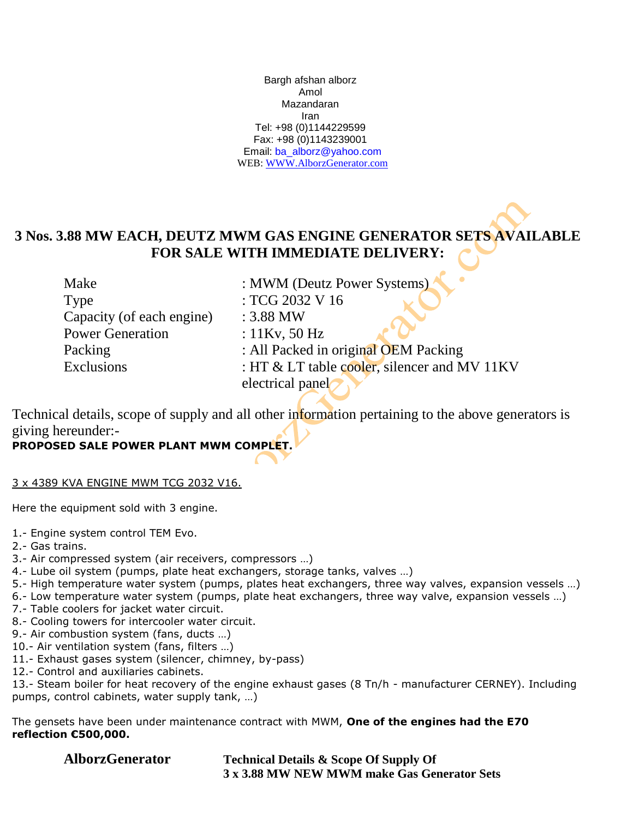Bargh afshan alborz Amol Mazandaran Iran Tel: +98 (0)1144229599 Fax: +98 (0)1143239001 Email: [ba\\_alborz@yahoo.com](mailto:ba_alborz@yahoo.com) WEB: [WWW.AlborzGenerator.com](http://www.alborzgenerator.com/)

## **3 Nos. 3.88 MW EACH, DEUTZ MWM GAS ENGINE GENERATOR SETS AVAILABLE FOR SALE WITH IMMEDIATE DELIVERY:**

Type : TCG 2032 V 16 Capacity (of each engine) : 3.88 MW Power Generation : 11Kv, 50 Hz

Make : MWM (Deutz Power Systems) Packing : All Packed in original OEM Packing Exclusions : HT & LT table cooler, silencer and MV 11KV electrical panel

Technical details, scope of supply and all other information pertaining to the above generators is giving hereunder:-

## **PROPOSED SALE POWER PLANT MWM COMPLET.**

## 3 x 4389 KVA ENGINE MWM TCG 2032 V16.

Here the equipment sold with 3 engine.

- 1.- Engine system control TEM Evo.
- 2.- Gas trains.
- 3.- Air compressed system (air receivers, compressors …)
- 4.- Lube oil system (pumps, plate heat exchangers, storage tanks, valves …)
- 5.- High temperature water system (pumps, plates heat exchangers, three way valves, expansion vessels …)
- 6.- Low temperature water system (pumps, plate heat exchangers, three way valve, expansion vessels …)
- 7.- Table coolers for jacket water circuit.
- 8.- Cooling towers for intercooler water circuit.
- 9.- Air combustion system (fans, ducts …)
- 10.- Air ventilation system (fans, filters …)
- 11.- Exhaust gases system (silencer, chimney, by-pass)
- 12.- Control and auxiliaries cabinets.

13.- Steam boiler for heat recovery of the engine exhaust gases (8 Tn/h - manufacturer CERNEY). Including pumps, control cabinets, water supply tank, …)

The gensets have been under maintenance contract with MWM, **One of the engines had the E70 reflection €500,000.**

**AlborzGenerator Technical Details & Scope Of Supply Of 3 x 3.88 MW NEW MWM make Gas Generator Sets**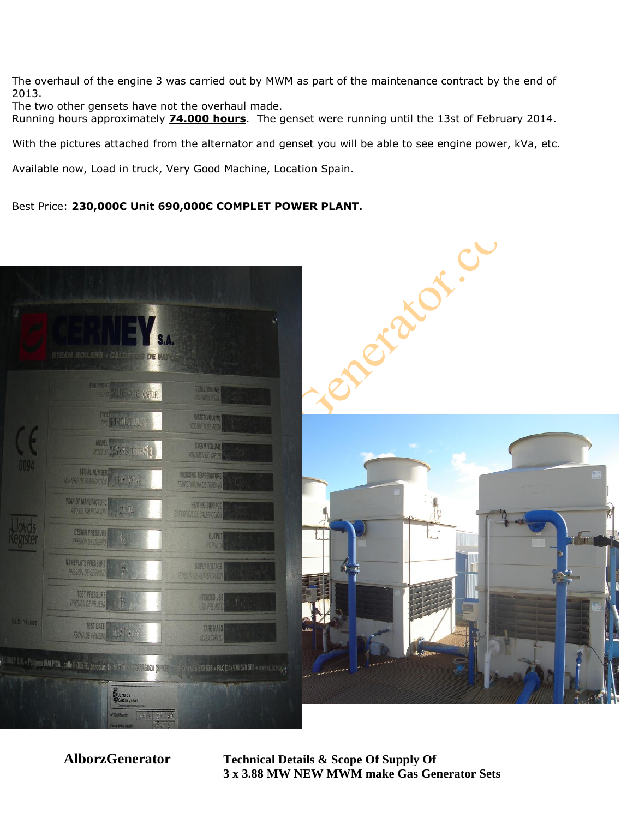The overhaul of the engine 3 was carried out by MWM as part of the maintenance contract by the end of 2013.

The two other gensets have not the overhaul made.

Running hours approximately **74.000 hours**. The genset were running until the 13st of February 2014.

With the pictures attached from the alternator and genset you will be able to see engine power, kVa, etc.

Available now, Load in truck, Very Good Machine, Location Spain.

Best Price: **230,000€ Unit 690,000€ COMPLET POWER PLANT.**



**AlborzGenerator Technical Details & Scope Of Supply Of 3 x 3.88 MW NEW MWM make Gas Generator Sets**